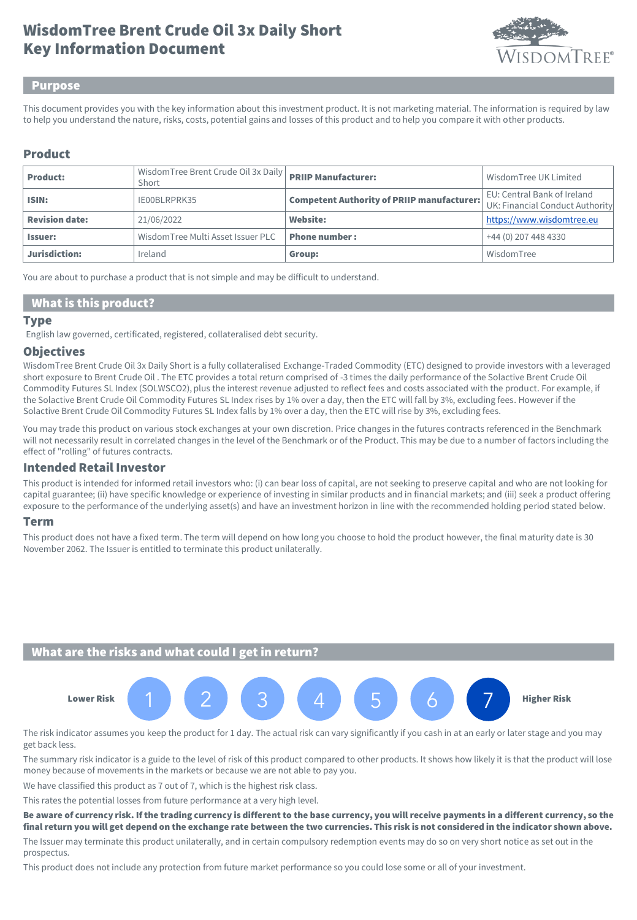# Key Information Document WisdomTree Brent Crude Oil 3x Daily Short



#### Purpose

This document provides you with the key information about this investment product. It is not marketing material. The information is required by law to help you understand the nature, risks, costs, potential gains and losses of this product and to help you compare it with other products.

#### Product

| <b>Product:</b>       | WisdomTree Brent Crude Oil 3x Daily   PRIIP Manufacturer:<br>Short |                                                   | Wisdom Tree UK Limited                                         |
|-----------------------|--------------------------------------------------------------------|---------------------------------------------------|----------------------------------------------------------------|
| ISIN:                 | IE00BLRPRK35                                                       | <b>Competent Authority of PRIIP manufacturer:</b> | EU: Central Bank of Ireland<br>UK: Financial Conduct Authority |
| <b>Revision date:</b> | 21/06/2022                                                         | Website:                                          | https://www.wisdomtree.eu                                      |
| <b>Issuer:</b>        | WisdomTree Multi Asset Issuer PLC                                  | <b>Phone number:</b>                              | +44 (0) 207 448 4330                                           |
| Jurisdiction:         | Ireland                                                            | Group:                                            | WisdomTree                                                     |

You are about to purchase a product that is not simple and may be difficult to understand.

#### What is this product?

#### **Type**

English law governed, certificated, registered, collateralised debt security.

#### **Objectives**

WisdomTree Brent Crude Oil 3x Daily Short is a fully collateralised Exchange-Traded Commodity (ETC) designed to provide investors with a leveraged short exposure to Brent Crude Oil . The ETC provides a total return comprised of -3 times the daily performance of the Solactive Brent Crude Oil Commodity Futures SL Index (SOLWSCO2), plus the interest revenue adjusted to reflect fees and costs associated with the product. For example, if the Solactive Brent Crude Oil Commodity Futures SL Index rises by 1% over a day, then the ETC will fall by 3%, excluding fees. However if the Solactive Brent Crude Oil Commodity Futures SL Index falls by 1% over a day, then the ETC will rise by 3%, excluding fees.

You may trade this product on various stock exchanges at your own discretion. Price changes in the futures contracts referenced in the Benchmark will not necessarily result in correlated changes in the level of the Benchmark or of the Product. This may be due to a number of factors including the effect of "rolling" of futures contracts.

#### Intended Retail Investor

This product is intended for informed retail investors who: (i) can bear loss of capital, are not seeking to preserve capital and who are not looking for capital guarantee; (ii) have specific knowledge or experience of investing in similar products and in financial markets; and (iii) seek a product offering exposure to the performance of the underlying asset(s) and have an investment horizon in line with the recommended holding period stated below.

#### Term

This product does not have a fixed term. The term will depend on how long you choose to hold the product however, the final maturity date is 30 November 2062. The Issuer is entitled to terminate this product unilaterally.

## What are the risks and what could I get in return?



The risk indicator assumes you keep the product for 1 day. The actual risk can vary significantly if you cash in at an early or later stage and you may get back less.

The summary risk indicator is a guide to the level of risk of this product compared to other products. It shows how likely it is that the product will lose money because of movements in the markets or because we are not able to pay you.

We have classified this product as 7 out of 7, which is the highest risk class.

This rates the potential losses from future performance at a very high level.

Be aware of currency risk. If the trading currency is different to the base currency, you will receive payments in a different currency, so the final return you will get depend on the exchange rate between the two currencies. This risk is not considered in the indicator shown above.

The Issuer may terminate this product unilaterally, and in certain compulsory redemption events may do so on very short notice as set out in the prospectus.

This product does not include any protection from future market performance so you could lose some or all of your investment.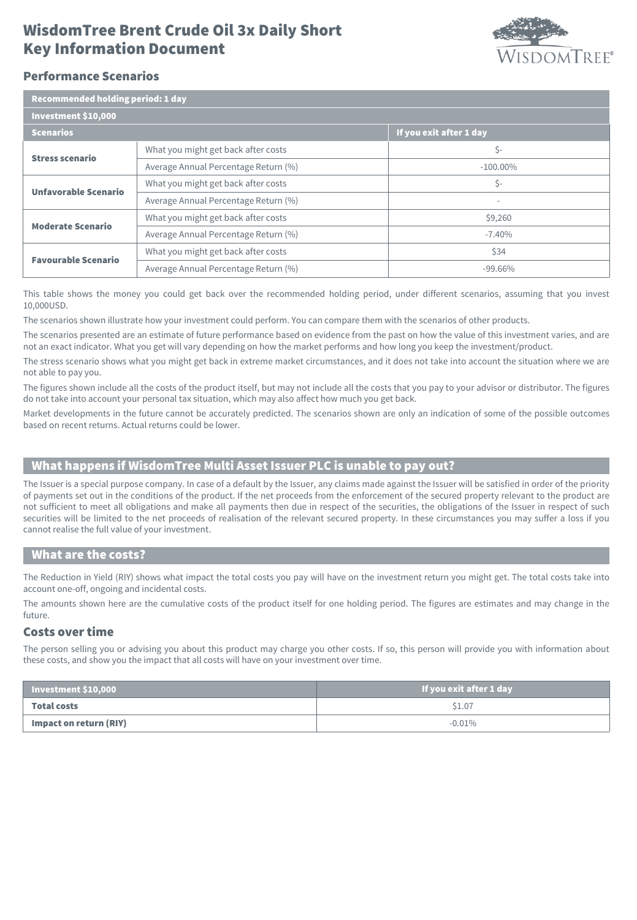# Key Information Document WisdomTree Brent Crude Oil 3x Daily Short



## Performance Scenarios

| <b>Recommended holding period: 1 day</b> |                                      |                          |  |  |
|------------------------------------------|--------------------------------------|--------------------------|--|--|
| Investment \$10,000                      |                                      |                          |  |  |
| <b>Scenarios</b>                         |                                      | If you exit after 1 day  |  |  |
| <b>Stress scenario</b>                   | What you might get back after costs  | \$-                      |  |  |
|                                          | Average Annual Percentage Return (%) | $-100.00\%$              |  |  |
| <b>Unfavorable Scenario</b>              | What you might get back after costs  | \$-                      |  |  |
|                                          | Average Annual Percentage Return (%) | $\overline{\phantom{a}}$ |  |  |
| <b>Moderate Scenario</b>                 | What you might get back after costs  | \$9,260                  |  |  |
|                                          | Average Annual Percentage Return (%) | $-7.40%$                 |  |  |
| <b>Favourable Scenario</b>               | What you might get back after costs  | \$34                     |  |  |
|                                          | Average Annual Percentage Return (%) | $-99.66%$                |  |  |

This table shows the money you could get back over the recommended holding period, under different scenarios, assuming that you invest 10,000USD.

The scenarios shown illustrate how your investment could perform. You can compare them with the scenarios of other products.

The scenarios presented are an estimate of future performance based on evidence from the past on how the value of this investment varies, and are not an exact indicator. What you get will vary depending on how the market performs and how long you keep the investment/product.

The stress scenario shows what you might get back in extreme market circumstances, and it does not take into account the situation where we are not able to pay you.

The figures shown include all the costs of the product itself, but may not include all the costs that you pay to your advisor or distributor. The figures do not take into account your personal tax situation, which may also affect how much you get back.

Market developments in the future cannot be accurately predicted. The scenarios shown are only an indication of some of the possible outcomes based on recent returns. Actual returns could be lower.

# What happens if WisdomTree Multi Asset Issuer PLC is unable to pay out?

The Issuer is a special purpose company. In case of a default by the Issuer, any claims made against the Issuer will be satisfied in order of the priority of payments set out in the conditions of the product. If the net proceeds from the enforcement of the secured property relevant to the product are not sufficient to meet all obligations and make all payments then due in respect of the securities, the obligations of the Issuer in respect of such securities will be limited to the net proceeds of realisation of the relevant secured property. In these circumstances you may suffer a loss if you cannot realise the full value of your investment.

#### What are the costs?

The Reduction in Yield (RIY) shows what impact the total costs you pay will have on the investment return you might get. The total costs take into account one-off, ongoing and incidental costs.

The amounts shown here are the cumulative costs of the product itself for one holding period. The figures are estimates and may change in the future.

### Costs over time

The person selling you or advising you about this product may charge you other costs. If so, this person will provide you with information about these costs, and show you the impact that all costs will have on your investment over time.

| $\vert$ Investment \$10,000 $\vert$ | If you exit after 1 day |
|-------------------------------------|-------------------------|
| Total costs                         | \$1.07                  |
| Impact on return (RIY)              | $-0.01\%$               |